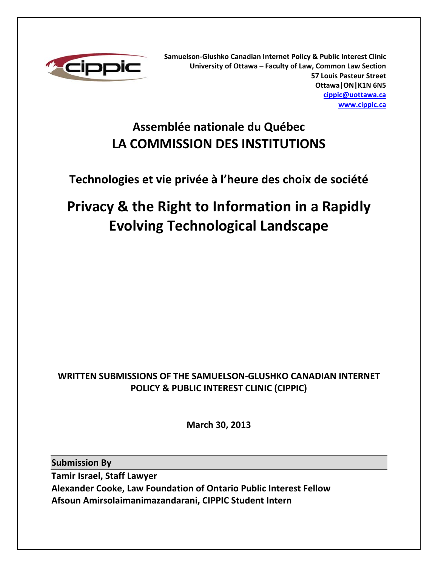

**Samuelson-Glushko Canadian Internet Policy & Public Interest Clinic University of Ottawa – Faculty of Law, Common Law Section 57 Louis Pasteur Street Ottawa|ON|K1N 6N5 cippic@uottawa.ca www.cippic.ca**

# **Assemblée nationale du Québec LA COMMISSION DES INSTITUTIONS**

# **Technologies et vie privée à l'heure des choix de société**

# **Privacy & the Right to Information in a Rapidly Evolving Technological Landscape**

# **WRITTEN SUBMISSIONS OF THE SAMUELSON-GLUSHKO CANADIAN INTERNET POLICY & PUBLIC INTEREST CLINIC (CIPPIC)**

**March 30, 2013** 

**Submission By** 

**Tamir Israel, Staff Lawyer Alexander Cooke, Law Foundation of Ontario Public Interest Fellow Afsoun Amirsolaimanimazandarani, CIPPIC Student Intern**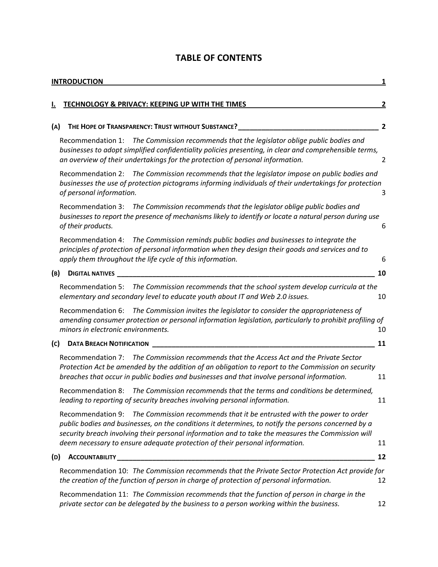# **TABLE OF CONTENTS**

|     | <b>INTRODUCTION</b><br>1                                                                                                                                                                                                                                                                                                                                                            |                |  |
|-----|-------------------------------------------------------------------------------------------------------------------------------------------------------------------------------------------------------------------------------------------------------------------------------------------------------------------------------------------------------------------------------------|----------------|--|
|     | TECHNOLOGY & PRIVACY: KEEPING UP WITH THE TIMES                                                                                                                                                                                                                                                                                                                                     | 2              |  |
| (A) | THE HOPE OF TRANSPARENCY: TRUST WITHOUT SUBSTANCE? _____________________________                                                                                                                                                                                                                                                                                                    | $\overline{2}$ |  |
|     | The Commission recommends that the legislator oblige public bodies and<br>Recommendation 1:<br>businesses to adopt simplified confidentiality policies presenting, in clear and comprehensible terms,<br>an overview of their undertakings for the protection of personal information.                                                                                              | 2              |  |
|     | Recommendation 2: The Commission recommends that the legislator impose on public bodies and<br>businesses the use of protection pictograms informing individuals of their undertakings for protection<br>of personal information.                                                                                                                                                   | 3              |  |
|     | Recommendation 3: The Commission recommends that the legislator oblige public bodies and<br>businesses to report the presence of mechanisms likely to identify or locate a natural person during use<br>of their products.                                                                                                                                                          | 6              |  |
|     | Recommendation 4: The Commission reminds public bodies and businesses to integrate the<br>principles of protection of personal information when they design their goods and services and to<br>apply them throughout the life cycle of this information.                                                                                                                            | 6              |  |
| (B) | <b>DIGITAL NATIVES</b>                                                                                                                                                                                                                                                                                                                                                              | 10             |  |
|     | Recommendation 5: The Commission recommends that the school system develop curricula at the<br>elementary and secondary level to educate youth about IT and Web 2.0 issues.                                                                                                                                                                                                         | 10             |  |
|     | Recommendation 6: The Commission invites the legislator to consider the appropriateness of<br>amending consumer protection or personal information legislation, particularly to prohibit profiling of<br>minors in electronic environments.                                                                                                                                         | 10             |  |
| (c) | <b>DATA BREACH NOTIFICATION</b>                                                                                                                                                                                                                                                                                                                                                     | 11             |  |
|     | Recommendation 7: The Commission recommends that the Access Act and the Private Sector<br>Protection Act be amended by the addition of an obligation to report to the Commission on security<br>breaches that occur in public bodies and businesses and that involve personal information.                                                                                          | 11             |  |
|     | The Commission recommends that the terms and conditions be determined,<br>Recommendation 8:<br>leading to reporting of security breaches involving personal information.                                                                                                                                                                                                            | 11             |  |
|     | Recommendation 9: The Commission recommends that it be entrusted with the power to order<br>public bodies and businesses, on the conditions it determines, to notify the persons concerned by a<br>security breach involving their personal information and to take the measures the Commission will<br>deem necessary to ensure adequate protection of their personal information. | 11             |  |
| (D) | <b>ACCOUNTABILITY</b>                                                                                                                                                                                                                                                                                                                                                               | 12             |  |
|     | Recommendation 10: The Commission recommends that the Private Sector Protection Act provide for<br>the creation of the function of person in charge of protection of personal information.                                                                                                                                                                                          | 12             |  |
|     | Recommendation 11: The Commission recommends that the function of person in charge in the<br>private sector can be delegated by the business to a person working within the business.                                                                                                                                                                                               | 12             |  |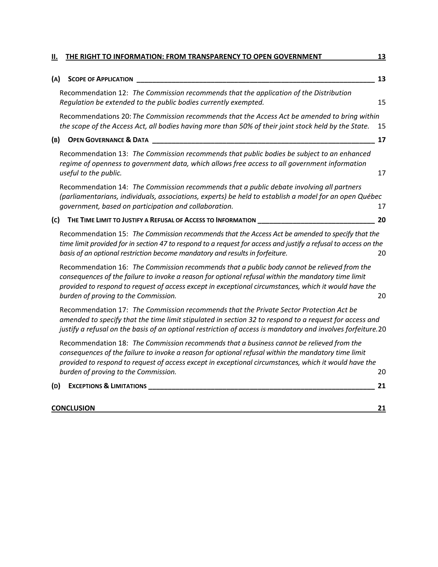| н.  | THE RIGHT TO INFORMATION: FROM TRANSPARENCY TO OPEN GOVERNMENT                                                                                                                                                                                                                                                                                      | 13 |
|-----|-----------------------------------------------------------------------------------------------------------------------------------------------------------------------------------------------------------------------------------------------------------------------------------------------------------------------------------------------------|----|
| (A) | <b>SCOPE OF APPLICATION</b>                                                                                                                                                                                                                                                                                                                         | 13 |
|     | Recommendation 12: The Commission recommends that the application of the Distribution<br>Regulation be extended to the public bodies currently exempted.                                                                                                                                                                                            | 15 |
|     | Recommendations 20: The Commission recommends that the Access Act be amended to bring within<br>the scope of the Access Act, all bodies having more than 50% of their joint stock held by the State.                                                                                                                                                | 15 |
| (B) | <b>OPEN GOVERNANCE &amp; DATA</b>                                                                                                                                                                                                                                                                                                                   | 17 |
|     | Recommendation 13: The Commission recommends that public bodies be subject to an enhanced<br>regime of openness to government data, which allows free access to all government information<br>useful to the public.                                                                                                                                 | 17 |
|     | Recommendation 14: The Commission recommends that a public debate involving all partners<br>(parliamentarians, individuals, associations, experts) be held to establish a model for an open Québec<br>government, based on participation and collaboration.                                                                                         | 17 |
| (c) | THE TIME LIMIT TO JUSTIFY A REFUSAL OF ACCESS TO INFORMATION                                                                                                                                                                                                                                                                                        | 20 |
|     | Recommendation 15: The Commission recommends that the Access Act be amended to specify that the<br>time limit provided for in section 47 to respond to a request for access and justify a refusal to access on the<br>basis of an optional restriction become mandatory and results in forfeiture.                                                  | 20 |
|     | Recommendation 16: The Commission recommends that a public body cannot be relieved from the<br>consequences of the failure to invoke a reason for optional refusal within the mandatory time limit<br>provided to respond to request of access except in exceptional circumstances, which it would have the<br>burden of proving to the Commission. | 20 |
|     | Recommendation 17: The Commission recommends that the Private Sector Protection Act be<br>amended to specify that the time limit stipulated in section 32 to respond to a request for access and<br>justify a refusal on the basis of an optional restriction of access is mandatory and involves forfeiture.20                                     |    |
|     | Recommendation 18: The Commission recommends that a business cannot be relieved from the<br>consequences of the failure to invoke a reason for optional refusal within the mandatory time limit<br>provided to respond to request of access except in exceptional circumstances, which it would have the<br>burden of proving to the Commission.    | 20 |
| (D) | <b>EXCEPTIONS &amp; LIMITATIONS</b>                                                                                                                                                                                                                                                                                                                 | 21 |
|     | <b>CONCLUSION</b>                                                                                                                                                                                                                                                                                                                                   | 21 |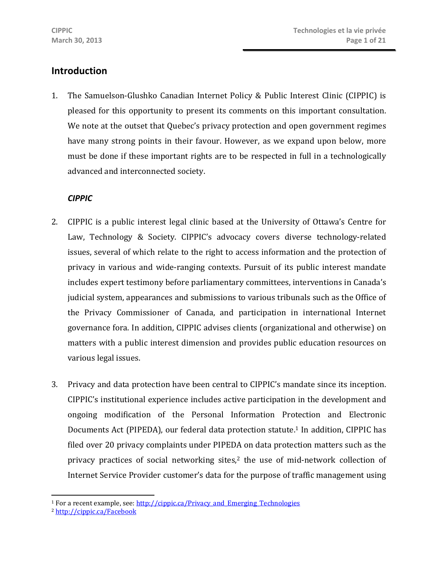# **Introduction**

1. The Samuelson-Glushko Canadian Internet Policy & Public Interest Clinic (CIPPIC) is pleased for this opportunity to present its comments on this important consultation. We note at the outset that Quebec's privacy protection and open government regimes have many strong points in their favour. However, as we expand upon below, more must be done if these important rights are to be respected in full in a technologically advanced and interconnected society.

#### *CIPPIC*

- 2. CIPPIC is a public interest legal clinic based at the University of Ottawa's Centre for Law, Technology & Society. CIPPIC's advocacy covers diverse technology-related issues, several of which relate to the right to access information and the protection of privacy in various and wide-ranging contexts. Pursuit of its public interest mandate includes expert testimony before parliamentary committees, interventions in Canada's judicial system, appearances and submissions to various tribunals such as the Office of the Privacy Commissioner of Canada, and participation in international Internet governance fora. In addition, CIPPIC advises clients (organizational and otherwise) on matters with a public interest dimension and provides public education resources on various legal issues.
- 3. Privacy and data protection have been central to CIPPIC's mandate since its inception. CIPPIC's institutional experience includes active participation in the development and ongoing modification of the Personal Information Protection and Electronic Documents Act (PIPEDA), our federal data protection statute.<sup>1</sup> In addition, CIPPIC has filed over 20 privacy complaints under PIPEDA on data protection matters such as the privacy practices of social networking sites,<sup>2</sup> the use of mid-network collection of Internet Service Provider customer's data for the purpose of traffic management using

 $\overline{a}$ <sup>1</sup> For a recent example, see: http://cippic.ca/Privacy\_and\_Emerging\_Technologies

<sup>2</sup> http://cippic.ca/Facebook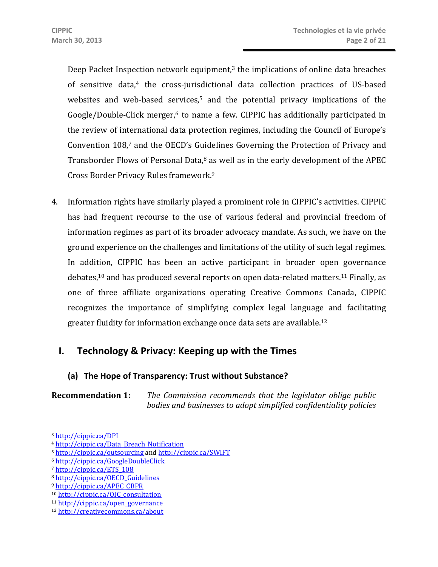Deep Packet Inspection network equipment, $3$  the implications of online data breaches of sensitive data,4 the cross-jurisdictional data collection practices of US-based websites and web-based services,<sup>5</sup> and the potential privacy implications of the Google/Double-Click merger,<sup>6</sup> to name a few. CIPPIC has additionally participated in the review of international data protection regimes, including the Council of Europe's Convention 108,7 and the OECD's Guidelines Governing the Protection of Privacy and Transborder Flows of Personal Data, $8$  as well as in the early development of the APEC Cross Border Privacy Rules framework.9

4. Information rights have similarly played a prominent role in CIPPIC's activities. CIPPIC has had frequent recourse to the use of various federal and provincial freedom of information regimes as part of its broader advocacy mandate. As such, we have on the ground experience on the challenges and limitations of the utility of such legal regimes. In addition, CIPPIC has been an active participant in broader open governance debates,10 and has produced several reports on open data-related matters.11 Finally, as one of three affiliate organizations operating Creative Commons Canada, CIPPIC recognizes the importance of simplifying complex legal language and facilitating greater fluidity for information exchange once data sets are available.12

# **I. Technology & Privacy: Keeping up with the Times**

# **(a) The Hope of Transparency: Trust without Substance?**

**Recommendation 1:** *The Commission recommends that the legislator oblige public bodies and businesses to adopt simplified confidentiality policies* 

 $\overline{a}$ 

<sup>3</sup> http://cippic.ca/DPI

<sup>4</sup> http://cippic.ca/Data\_Breach\_Notification

<sup>5</sup> http://cippic.ca/outsourcing and http://cippic.ca/SWIFT

<sup>6</sup> http://cippic.ca/GoogleDoubleClick

<sup>7</sup> http://cippic.ca/ETS\_108

<sup>8</sup> http://cippic.ca/OECD\_Guidelines

<sup>9</sup> http://cippic.ca/APEC\_CBPR

<sup>10</sup> http://cippic.ca/OIC\_consultation

<sup>11</sup> http://cippic.ca/open\_governance

<sup>12</sup> http://creativecommons.ca/about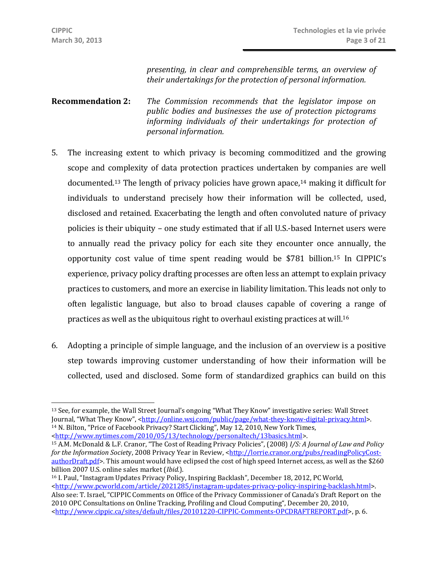*presenting, in clear and comprehensible terms, an overview of their undertakings for the protection of personal information.*

**Recommendation 2:** *The Commission recommends that the legislator impose on public bodies and businesses the use of protection pictograms informing individuals of their undertakings for protection of personal information.*

- 5. The increasing extent to which privacy is becoming commoditized and the growing scope and complexity of data protection practices undertaken by companies are well documented.<sup>13</sup> The length of privacy policies have grown apace.<sup>14</sup> making it difficult for individuals to understand precisely how their information will be collected, used, disclosed and retained. Exacerbating the length and often convoluted nature of privacy policies is their ubiquity – one study estimated that if all U.S.-based Internet users were to annually read the privacy policy for each site they encounter once annually, the opportunity cost value of time spent reading would be \$781 billion.15 In CIPPIC's experience, privacy policy drafting processes are often less an attempt to explain privacy practices to customers, and more an exercise in liability limitation. This leads not only to often legalistic language, but also to broad clauses capable of covering a range of practices as well as the ubiquitous right to overhaul existing practices at will.16
- 6. Adopting a principle of simple language, and the inclusion of an overview is a positive step towards improving customer understanding of how their information will be collected, used and disclosed. Some form of standardized graphics can build on this

 $\overline{a}$ <sup>13</sup> See, for example, the Wall Street Journal's ongoing "What They Know" investigative series: Wall Street Journal, "What They Know", <http://online.wsj.com/public/page/what-they-know-digital-privacy.html>. <sup>14</sup> N. Bilton, "Price of Facebook Privacy? Start Clicking", May 12, 2010, New York Times, <http://www.nytimes.com/2010/05/13/technology/personaltech/13basics.html>.

<sup>15</sup> A.M. McDonald & L.F. Cranor, "The Cost of Reading Privacy Policies", (2008) *I/S: A Journal of Law and Policy for the Information Society, 2008 Privacy Year in Review, <http://lorrie.cranor.org/pubs/readingPolicyCost*authorDraft.pdf>. This amount would have eclipsed the cost of high speed Internet access, as well as the \$260<br>billion 2007 U.S. online sales market (*Ibid.*).

<sup>&</sup>lt;sup>16</sup> I. Paul, "Instagram Updates Privacy Policy, Inspiring Backlash", December 18, 2012, PC World, <http://www.pcworld.com/article/2021285/instagram-updates-privacy-policy-inspiring-backlash.html>. Also see: T. Israel, "CIPPIC Comments on Office of the Privacy Commissioner of Canada's Draft Report on the 2010 OPC Consultations on Online Tracking, Profiling and Cloud Computing", December 20, 2010, <http://www.cippic.ca/sites/default/files/20101220-CIPPIC-Comments-OPCDRAFTREPORT.pdf>, p. 6.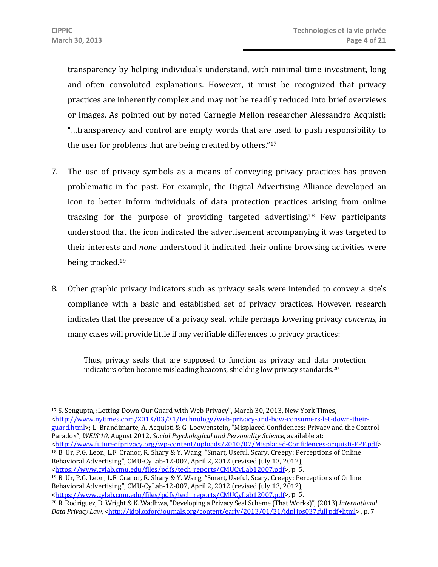transparency by helping individuals understand, with minimal time investment, long and often convoluted explanations. However, it must be recognized that privacy practices are inherently complex and may not be readily reduced into brief overviews or images. As pointed out by noted Carnegie Mellon researcher Alessandro Acquisti: "…transparency and control are empty words that are used to push responsibility to the user for problems that are being created by others."17

- 7. The use of privacy symbols as a means of conveying privacy practices has proven problematic in the past. For example, the Digital Advertising Alliance developed an icon to better inform individuals of data protection practices arising from online tracking for the purpose of providing targeted advertising.18 Few participants understood that the icon indicated the advertisement accompanying it was targeted to their interests and *none* understood it indicated their online browsing activities were being tracked.19
- 8. Other graphic privacy indicators such as privacy seals were intended to convey a site's compliance with a basic and established set of privacy practices. However, research indicates that the presence of a privacy seal, while perhaps lowering privacy *concerns*, in many cases will provide little if any verifiable differences to privacy practices:

Thus, privacy seals that are supposed to function as privacy and data protection indicators often become misleading beacons, shielding low privacy standards.20

17 S. Sengupta, :Letting Down Our Guard with Web Privacy", March 30, 2013, New York Times, <http://www.nytimes.com/2013/03/31/technology/web-privacy-and-how-consumers-let-down-theirguard.html>; L. Brandimarte, A. Acquisti & G. Loewenstein, "Misplaced Confidences: Privacy and the Control Paradox", *WEIS'10*, August 2012, *Social Psychological and Personality Science*, available at: 18 B. Ur, P.G. Leon, L.F. Cranor, R. Shary & Y. Wang, "Smart, Useful, Scary, Creepy: Perceptions of Online Behavioral Advertising", CMU-CyLab-12-007, April 2, 2012 (revised July 13, 2012),<br>
<https://www.cylab.cmu.edu/files/pdfs/tech\_reports/CMUCyLab12007.pdf>, p. 5.  $^{19}$  B. Ur, P.G. Leon, L.F. Cranor, R. Shary & Y. Wang, "Smart, Useful, Scary, Creepy: Perceptions of Online Behavioral Advertising", CMU-CyLab-12-007, April 2, 2012 (revised July 13, 2012),<br>
<https://www.cylab.cmu.edu/files/pdfs/tech\_reports/CMUCyLab12007.pdf>, p. 5. <sup>20</sup> R. Rodriguez, D. Wright & K. Wadhwa, "Developing a Privacy Seal Scheme (That Works)", (2013) *International Data Privacy Law, <http://idpl.oxfordjournals.org/content/early/2013/01/31/idpl.ips037.full.pdf+html>, p. 7.*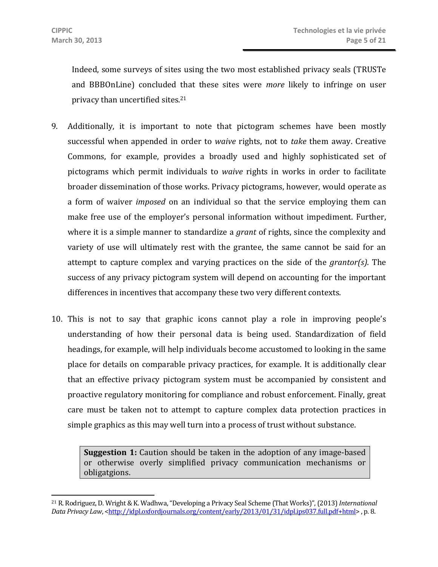Indeed, some surveys of sites using the two most established privacy seals (TRUSTe and BBBOnLine) concluded that these sites were *more* likely to infringe on user privacy than uncertified sites.21

- 9. Additionally, it is important to note that pictogram schemes have been mostly successful when appended in order to *waive* rights, not to *take* them away. Creative Commons, for example, provides a broadly used and highly sophisticated set of pictograms which permit individuals to *waive* rights in works in order to facilitate broader dissemination of those works. Privacy pictograms, however, would operate as a form of waiver *imposed* on an individual so that the service employing them can make free use of the employer's personal information without impediment. Further, where it is a simple manner to standardize a *grant* of rights, since the complexity and variety of use will ultimately rest with the grantee, the same cannot be said for an attempt to capture complex and varying practices on the side of the *grantor(s)*. The success of any privacy pictogram system will depend on accounting for the important differences in incentives that accompany these two very different contexts.
- 10. This is not to say that graphic icons cannot play a role in improving people's understanding of how their personal data is being used. Standardization of field headings, for example, will help individuals become accustomed to looking in the same place for details on comparable privacy practices, for example. It is additionally clear that an effective privacy pictogram system must be accompanied by consistent and proactive regulatory monitoring for compliance and robust enforcement. Finally, great care must be taken not to attempt to capture complex data protection practices in simple graphics as this may well turn into a process of trust without substance.

**Suggestion 1:** Caution should be taken in the adoption of any image-based or otherwise overly simplified privacy communication mechanisms or obligatgions.

<sup>21</sup> R. Rodriguez, D. Wright & K. Wadhwa, "Developing a Privacy Seal Scheme (That Works)", (2013) *International Data Privacy Law*, <http://idpl.oxfordjournals.org/content/early/2013/01/31/idpl.ips037.full.pdf+html>, p. 8.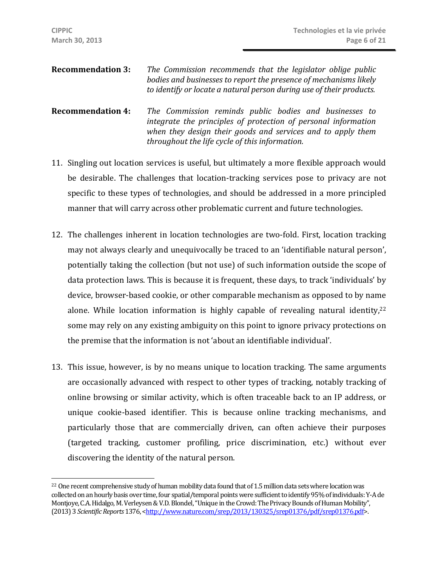- **Recommendation 3:** *The Commission recommends that the legislator oblige public bodies and businesses to report the presence of mechanisms likely to identify or locate a natural person during use of their products.*
- **Recommendation 4:** *The Commission reminds public bodies and businesses to integrate the principles of protection of personal information when they design their goods and services and to apply them throughout the life cycle of this information.*
- 11. Singling out location services is useful, but ultimately a more flexible approach would be desirable. The challenges that location-tracking services pose to privacy are not specific to these types of technologies, and should be addressed in a more principled manner that will carry across other problematic current and future technologies.
- 12. The challenges inherent in location technologies are two-fold. First, location tracking may not always clearly and unequivocally be traced to an 'identifiable natural person', potentially taking the collection (but not use) of such information outside the scope of data protection laws. This is because it is frequent, these days, to track 'individuals' by device, browser-based cookie, or other comparable mechanism as opposed to by name alone. While location information is highly capable of revealing natural identity, $22$ some may rely on any existing ambiguity on this point to ignore privacy protections on the premise that the information is not 'about an identifiable individual'.
- 13. This issue, however, is by no means unique to location tracking. The same arguments are occasionally advanced with respect to other types of tracking, notably tracking of online browsing or similar activity, which is often traceable back to an IP address, or unique cookie-based identifier. This is because online tracking mechanisms, and particularly those that are commercially driven, can often achieve their purposes (targeted tracking, customer profiling, price discrimination, etc.) without ever discovering the identity of the natural person.

<sup>&</sup>lt;sup>22</sup> One recent comprehensive study of human mobility data found that of 1.5 million data sets where location was collected on an hourly basis over time, four spatial/temporal points were sufficient to identify 95% of individuals: Y-A de Montjoye, C.A. Hidalgo, M. Verleysen & V.D. Blondel, "Unique in the Crowd: The Privacy Bounds of Human Mobility", (2013) 3 *Scientific Reports* 1376, <http://www.nature.com/srep/2013/130325/srep01376/pdf/srep01376.pdf>.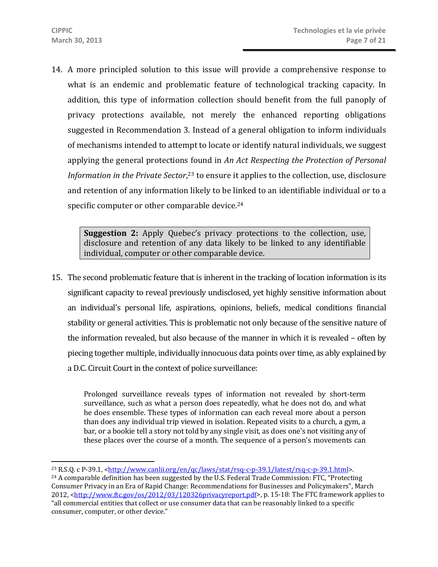14. A more principled solution to this issue will provide a comprehensive response to what is an endemic and problematic feature of technological tracking capacity. In addition, this type of information collection should benefit from the full panoply of privacy protections available, not merely the enhanced reporting obligations suggested in Recommendation 3. Instead of a general obligation to inform individuals of mechanisms intended to attempt to locate or identify natural individuals, we suggest applying the general protections found in *An Act Respecting the Protection of Personal*  Information in the Private Sector,<sup>23</sup> to ensure it applies to the collection, use, disclosure and retention of any information likely to be linked to an identifiable individual or to a specific computer or other comparable device.<sup>24</sup>

**Suggestion 2:** Apply Quebec's privacy protections to the collection, use, disclosure and retention of any data likely to be linked to any identifiable individual, computer or other comparable device.

15. The second problematic feature that is inherent in the tracking of location information is its significant capacity to reveal previously undisclosed, yet highly sensitive information about an individual's personal life, aspirations, opinions, beliefs, medical conditions financial stability or general activities. This is problematic not only because of the sensitive nature of the information revealed, but also because of the manner in which it is revealed – often by piecing together multiple, individually innocuous data points over time, as ably explained by a D.C. Circuit Court in the context of police surveillance:

Prolonged surveillance reveals types of information not revealed by short-term surveillance, such as what a person does repeatedly, what he does not do, and what he does ensemble. These types of information can each reveal more about a person than does any individual trip viewed in isolation. Repeated visits to a church, a gym, a bar, or a bookie tell a story not told by any single visit, as does one's not visiting any of these places over the course of a month. The sequence of a person's movements can

<sup>&</sup>lt;sup>23</sup> R.S.Q. c P-39.1, <http://www.canlii.org/en/qc/laws/stat/rsq-c-p-39.1/latest/rsq-c-p-39.1.html>.<br><sup>24</sup> A comparable definition has been suggested by the U.S. Federal Trade Commission: FTC, "Protecting

Consumer Privacy in an Era of Rapid Change: Recommendations for Businesses and Policymakers", March 2012, <http://www.ftc.gov/os/2012/03/120326privacyreport.pdf>, p. 15-18: The FTC framework applies to "all commercial entities that collect or use consumer data that can be reasonably linked to a specific consumer, computer, or other device."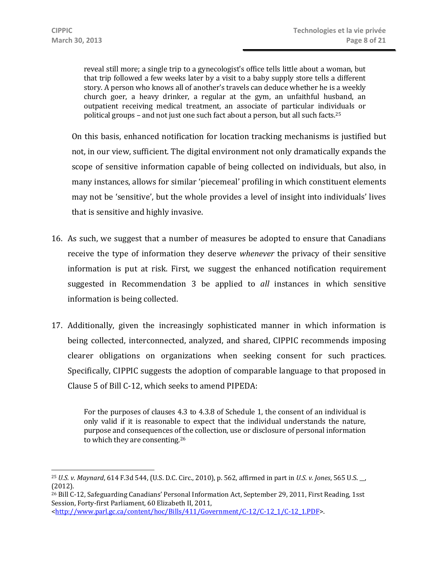reveal still more; a single trip to a gynecologist's office tells little about a woman, but that trip followed a few weeks later by a visit to a baby supply store tells a different story. A person who knows all of another's travels can deduce whether he is a weekly church goer, a heavy drinker, a regular at the gym, an unfaithful husband, an outpatient receiving medical treatment, an associate of particular individuals or political groups – and not just one such fact about a person, but all such facts.25

On this basis, enhanced notification for location tracking mechanisms is justified but not, in our view, sufficient. The digital environment not only dramatically expands the scope of sensitive information capable of being collected on individuals, but also, in many instances, allows for similar 'piecemeal' profiling in which constituent elements may not be 'sensitive', but the whole provides a level of insight into individuals' lives that is sensitive and highly invasive.

- 16. As such, we suggest that a number of measures be adopted to ensure that Canadians receive the type of information they deserve *whenever* the privacy of their sensitive information is put at risk. First, we suggest the enhanced notification requirement suggested in Recommendation 3 be applied to *all* instances in which sensitive information is being collected.
- 17. Additionally, given the increasingly sophisticated manner in which information is being collected, interconnected, analyzed, and shared, CIPPIC recommends imposing clearer obligations on organizations when seeking consent for such practices. Specifically, CIPPIC suggests the adoption of comparable language to that proposed in Clause 5 of Bill C-12, which seeks to amend PIPEDA:

For the purposes of clauses 4.3 to 4.3.8 of Schedule 1, the consent of an individual is only valid if it is reasonable to expect that the individual understands the nature, purpose and consequences of the collection, use or disclosure of personal information to which they are consenting.26

26 Bill C-12, Safeguarding Canadians' Personal Information Act, September 29, 2011, First Reading, 1sst Session, Forty-first Parliament, 60 Elizabeth II, 2011, <http://www.parl.gc.ca/content/hoc/Bills/411/Government/C-12/C-12\_1/C-12\_1.PDF>.

 $\overline{a}$ <sup>25</sup> *U.S. v. Maynard*, 614 F.3d 544, (U.S. D.C. Circ., 2010), p. 562, affirmed in part in *U.S. v. Jones*, 565 U.S. \_\_, (2012).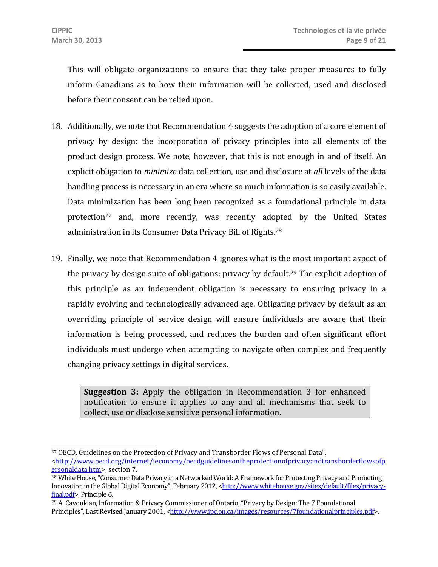This will obligate organizations to ensure that they take proper measures to fully inform Canadians as to how their information will be collected, used and disclosed before their consent can be relied upon.

- 18. Additionally, we note that Recommendation 4 suggests the adoption of a core element of privacy by design: the incorporation of privacy principles into all elements of the product design process. We note, however, that this is not enough in and of itself. An explicit obligation to *minimize* data collection, use and disclosure at *all* levels of the data handling process is necessary in an era where so much information is so easily available. Data minimization has been long been recognized as a foundational principle in data protection<sup>27</sup> and, more recently, was recently adopted by the United States administration in its Consumer Data Privacy Bill of Rights.28
- 19. Finally, we note that Recommendation 4 ignores what is the most important aspect of the privacy by design suite of obligations: privacy by default.<sup>29</sup> The explicit adoption of this principle as an independent obligation is necessary to ensuring privacy in a rapidly evolving and technologically advanced age. Obligating privacy by default as an overriding principle of service design will ensure individuals are aware that their information is being processed, and reduces the burden and often significant effort individuals must undergo when attempting to navigate often complex and frequently changing privacy settings in digital services.

**Suggestion 3:** Apply the obligation in Recommendation 3 for enhanced notification to ensure it applies to any and all mechanisms that seek to collect, use or disclose sensitive personal information.

<sup>&</sup>lt;sup>27</sup> OECD, Guidelines on the Protection of Privacy and Transborder Flows of Personal Data", <http://www.oecd.org/internet/ieconomy/oecdguidelinesontheprotectionofprivacyandtransborderflowsofp<br>ersonaldata.htm>, section 7.

<sup>&</sup>lt;sup>28</sup> White House, "Consumer Data Privacy in a Networked World: A Framework for Protecting Privacy and Promoting Innovation in the Global Digital Economy", February 2012, <http://www.whitehouse.gov/sites/default/files/privacyfinal.pdf>, Principle 6.<br><sup>29</sup> A. Cavoukian, Information & Privacy Commissioner of Ontario, "Privacy by Design: The 7 Foundational

Principles", Last Revised January 2001, <http://www.ipc.on.ca/images/resources/7foundationalprinciples.pdf>.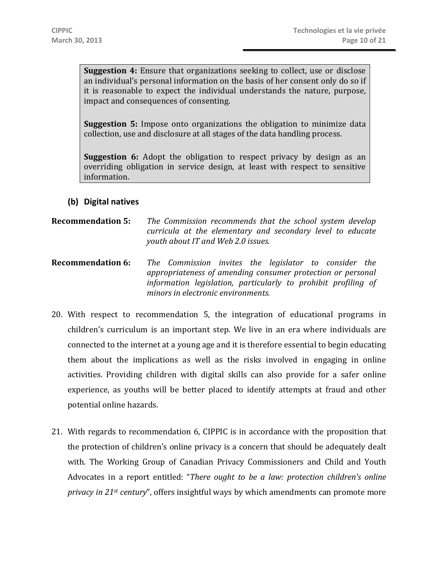**Suggestion 4:** Ensure that organizations seeking to collect, use or disclose an individual's personal information on the basis of her consent only do so if it is reasonable to expect the individual understands the nature, purpose, impact and consequences of consenting.

**Suggestion 5:** Impose onto organizations the obligation to minimize data collection, use and disclosure at all stages of the data handling process.

**Suggestion 6:** Adopt the obligation to respect privacy by design as an overriding obligation in service design, at least with respect to sensitive information.

#### **(b) Digital natives**

#### **Recommendation 5:** *The Commission recommends that the school system develop curricula at the elementary and secondary level to educate youth about IT and Web 2.0 issues.*

- **Recommendation 6:** *The Commission invites the legislator to consider the appropriateness of amending consumer protection or personal information legislation, particularly to prohibit profiling of minors in electronic environments.*
- 20. With respect to recommendation 5, the integration of educational programs in children's curriculum is an important step. We live in an era where individuals are connected to the internet at a young age and it is therefore essential to begin educating them about the implications as well as the risks involved in engaging in online activities. Providing children with digital skills can also provide for a safer online experience, as youths will be better placed to identify attempts at fraud and other potential online hazards.
- 21. With regards to recommendation 6, CIPPIC is in accordance with the proposition that the protection of children's online privacy is a concern that should be adequately dealt with. The Working Group of Canadian Privacy Commissioners and Child and Youth Advocates in a report entitled: "*There ought to be a law: protection children's online privacy in 21st century*", offers insightful ways by which amendments can promote more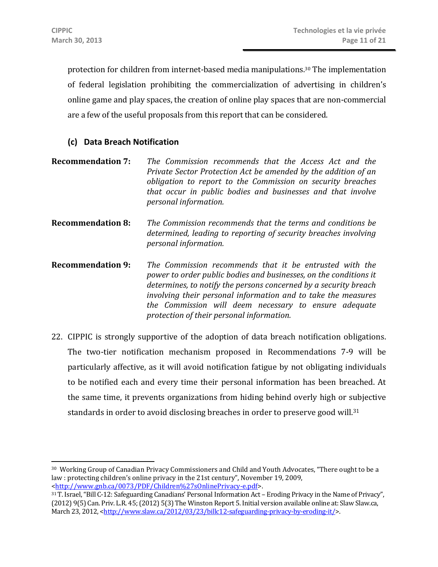protection for children from internet-based media manipulations. 30 The implementation of federal legislation prohibiting the commercialization of advertising in children's online game and play spaces, the creation of online play spaces that are non-commercial are a few of the useful proposals from this report that can be considered.

#### **(c) Data Breach Notification**

- **Recommendation 7:** *The Commission recommends that the Access Act and the Private Sector Protection Act be amended by the addition of an obligation to report to the Commission on security breaches that occur in public bodies and businesses and that involve personal information.*
- **Recommendation 8:** *The Commission recommends that the terms and conditions be determined, leading to reporting of security breaches involving personal information.*
- **Recommendation 9:** *The Commission recommends that it be entrusted with the power to order public bodies and businesses, on the conditions it determines, to notify the persons concerned by a security breach involving their personal information and to take the measures the Commission will deem necessary to ensure adequate protection of their personal information.*
- 22. CIPPIC is strongly supportive of the adoption of data breach notification obligations. The two-tier notification mechanism proposed in Recommendations 7-9 will be particularly affective, as it will avoid notification fatigue by not obligating individuals to be notified each and every time their personal information has been breached. At the same time, it prevents organizations from hiding behind overly high or subjective standards in order to avoid disclosing breaches in order to preserve good will.<sup>31</sup>

<sup>30</sup> Working Group of Canadian Privacy Commissioners and Child and Youth Advocates, "There ought to be a law : protecting children's online privacy in the 21st century", November 19, 2009, <http://www.gnb.ca/0073/PDF/Children%27sOnlinePrivacy-e.pdf>. 31 T. Israel, "Bill C-12: Safeguarding Canadians' Personal Information Act – Eroding Privacy in the Name of Privacy",

<sup>(2012) 9(5)</sup> Can. Priv. L.R. 45; (2012) 5(3) The Winston Report 5. Initial version available online at: Slaw Slaw.ca, March 23, 2012, <http://www.slaw.ca/2012/03/23/billc12-safeguarding-privacy-by-eroding-it/>.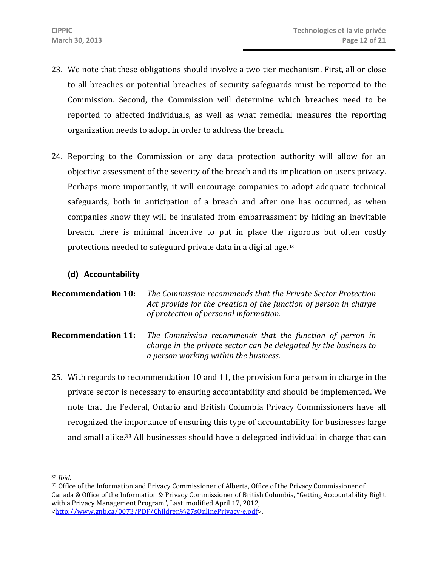- 23. We note that these obligations should involve a two-tier mechanism. First, all or close to all breaches or potential breaches of security safeguards must be reported to the Commission. Second, the Commission will determine which breaches need to be reported to affected individuals, as well as what remedial measures the reporting organization needs to adopt in order to address the breach.
- 24. Reporting to the Commission or any data protection authority will allow for an objective assessment of the severity of the breach and its implication on users privacy. Perhaps more importantly, it will encourage companies to adopt adequate technical safeguards, both in anticipation of a breach and after one has occurred, as when companies know they will be insulated from embarrassment by hiding an inevitable breach, there is minimal incentive to put in place the rigorous but often costly protections needed to safeguard private data in a digital age.32

# **(d) Accountability**

```
Recommendation 10: The Commission recommends that the Private Sector Protection 
                         Act provide for the creation of the function of person in charge 
                         of protection of personal information.
```
- **Recommendation 11:** *The Commission recommends that the function of person in charge in the private sector can be delegated by the business to a person working within the business.*
- 25. With regards to recommendation 10 and 11, the provision for a person in charge in the private sector is necessary to ensuring accountability and should be implemented. We note that the Federal, Ontario and British Columbia Privacy Commissioners have all recognized the importance of ensuring this type of accountability for businesses large and small alike.33 All businesses should have a delegated individual in charge that can

 $\overline{a}$ 

<sup>&</sup>lt;sup>32</sup> *Ibid.*<br><sup>33</sup> Office of the Information and Privacy Commissioner of Alberta, Office of the Privacy Commissioner of Canada & Office of the Information & Privacy Commissioner of British Columbia, "Getting Accountability Right with a Privacy Management Program", Last modified April 17, 2012, <http://www.gnb.ca/0073/PDF/Children%27sOnlinePrivacy-e.pdf>.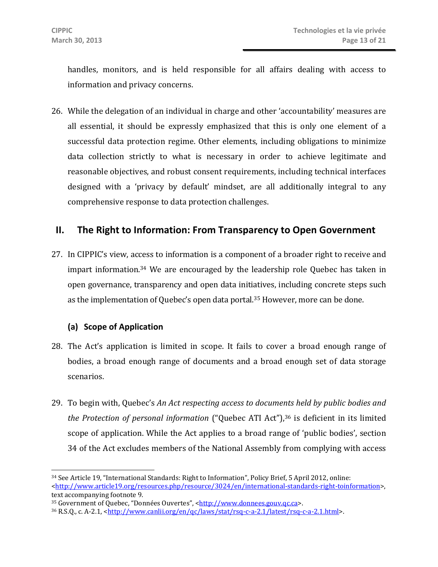handles, monitors, and is held responsible for all affairs dealing with access to information and privacy concerns.

26. While the delegation of an individual in charge and other 'accountability' measures are all essential, it should be expressly emphasized that this is only one element of a successful data protection regime. Other elements, including obligations to minimize data collection strictly to what is necessary in order to achieve legitimate and reasonable objectives, and robust consent requirements, including technical interfaces designed with a 'privacy by default' mindset, are all additionally integral to any comprehensive response to data protection challenges.

# **II. The Right to Information: From Transparency to Open Government**

27. In CIPPIC's view, access to information is a component of a broader right to receive and impart information.34 We are encouraged by the leadership role Quebec has taken in open governance, transparency and open data initiatives, including concrete steps such as the implementation of Quebec's open data portal.<sup>35</sup> However, more can be done.

#### **(a) Scope of Application**

- 28. The Act's application is limited in scope. It fails to cover a broad enough range of bodies, a broad enough range of documents and a broad enough set of data storage scenarios.
- 29. To begin with, Quebec's *An Act respecting access to documents held by public bodies and the Protection of personal information* ("Quebec ATI Act"),<sup>36</sup> is deficient in its limited scope of application. While the Act applies to a broad range of 'public bodies', section 34 of the Act excludes members of the National Assembly from complying with access

 $\overline{a}$ 34 See Article 19, "International Standards: Right to Information", Policy Brief, 5 April 2012, online: <http://www.article19.org/resources.php/resource/3024/en/international-standards-right-toinformation>, text accompanying footnote 9.

<sup>&</sup>lt;sup>35</sup> Government of Quebec, "Données Ouvertes", <http://www.donnees.gouv.qc.ca>.<br><sup>36</sup> R.S.Q., c. A-2.1, <http://www.canlii.org/en/qc/laws/stat/rsq-c-a-2.1/latest/rsq-c-a-2.1.html>.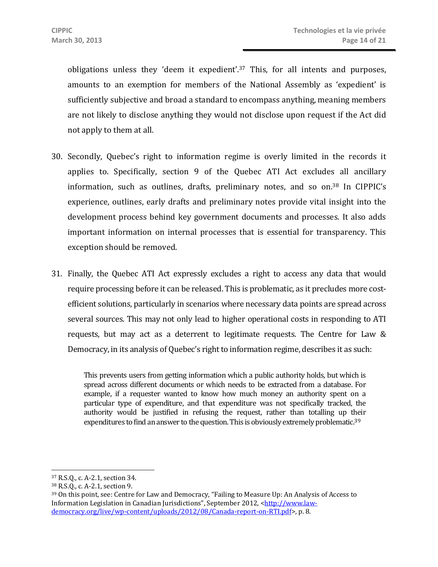obligations unless they 'deem it expedient'.37 This, for all intents and purposes, amounts to an exemption for members of the National Assembly as 'expedient' is sufficiently subjective and broad a standard to encompass anything, meaning members are not likely to disclose anything they would not disclose upon request if the Act did not apply to them at all.

- 30. Secondly, Quebec's right to information regime is overly limited in the records it applies to. Specifically, section 9 of the Quebec ATI Act excludes all ancillary information, such as outlines, drafts, preliminary notes, and so on.38 In CIPPIC's experience, outlines, early drafts and preliminary notes provide vital insight into the development process behind key government documents and processes. It also adds important information on internal processes that is essential for transparency. This exception should be removed.
- 31. Finally, the Quebec ATI Act expressly excludes a right to access any data that would require processing before it can be released. This is problematic, as it precludes more costefficient solutions, particularly in scenarios where necessary data points are spread across several sources. This may not only lead to higher operational costs in responding to ATI requests, but may act as a deterrent to legitimate requests. The Centre for Law & Democracy, in its analysis of Quebec's right to information regime, describes it as such:

This prevents users from getting information which a public authority holds, but which is spread across different documents or which needs to be extracted from a database. For example, if a requester wanted to know how much money an authority spent on a particular type of expenditure, and that expenditure was not specifically tracked, the authority would be justified in refusing the request, rather than totalling up their expenditures to find an answer to the question. This is obviously extremely problematic.<sup>39</sup>

 $\overline{a}$ 

<sup>37</sup> R.S.Q., c. A-2.1, section 34.

<sup>38</sup> R.S.Q., c. A-2.1, section 9.

<sup>39</sup> On this point, see: Centre for Law and Democracy, "Failing to Measure Up: An Analysis of Access to Information Legislation in Canadian Jurisdictions", September 2012, <http://www.lawdemocracy.org/live/wp-content/uploads/2012/08/Canada-report-on-RTI.pdf>, p. 8.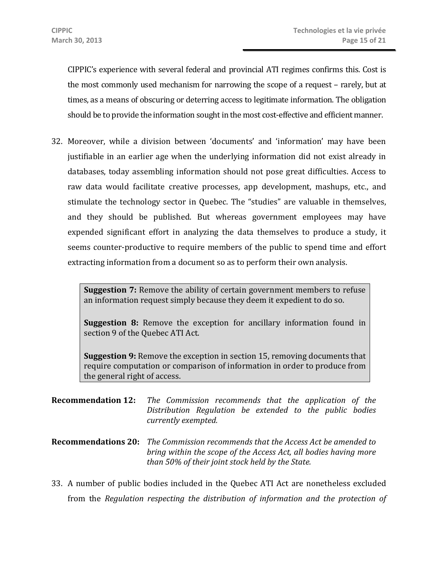CIPPIC's experience with several federal and provincial ATI regimes confirms this. Cost is the most commonly used mechanism for narrowing the scope of a request – rarely, but at times, as a means of obscuring or deterring access to legitimate information. The obligation should be to provide the information sought in the most cost-effective and efficient manner.

32. Moreover, while a division between 'documents' and 'information' may have been justifiable in an earlier age when the underlying information did not exist already in databases, today assembling information should not pose great difficulties. Access to raw data would facilitate creative processes, app development, mashups, etc., and stimulate the technology sector in Quebec. The "studies" are valuable in themselves, and they should be published. But whereas government employees may have expended significant effort in analyzing the data themselves to produce a study, it seems counter-productive to require members of the public to spend time and effort extracting information from a document so as to perform their own analysis.

**Suggestion 7:** Remove the ability of certain government members to refuse an information request simply because they deem it expedient to do so.

**Suggestion 8:** Remove the exception for ancillary information found in section 9 of the Quebec ATI Act.

**Suggestion 9:** Remove the exception in section 15, removing documents that require computation or comparison of information in order to produce from the general right of access.

- **Recommendation 12:** *The Commission recommends that the application of the Distribution Regulation be extended to the public bodies currently exempted.*
- **Recommendations 20:** *The Commission recommends that the Access Act be amended to bring within the scope of the Access Act, all bodies having more than 50% of their joint stock held by the State.*
- 33. A number of public bodies included in the Quebec ATI Act are nonetheless excluded from the *Regulation respecting the distribution of information and the protection of*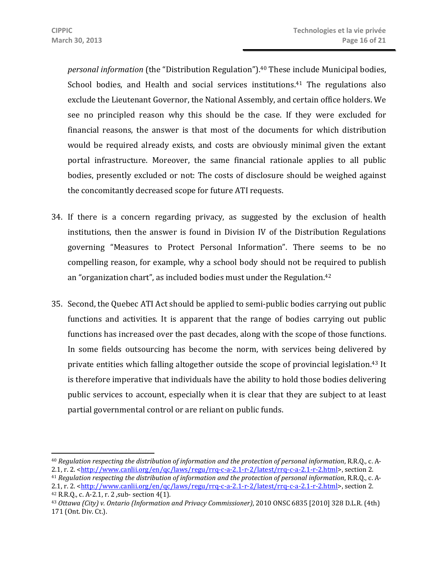*personal information* (the "Distribution Regulation").<sup>40</sup> These include Municipal bodies, School bodies, and Health and social services institutions.<sup>41</sup> The regulations also exclude the Lieutenant Governor, the National Assembly, and certain office holders. We see no principled reason why this should be the case. If they were excluded for financial reasons, the answer is that most of the documents for which distribution would be required already exists, and costs are obviously minimal given the extant portal infrastructure. Moreover, the same financial rationale applies to all public bodies, presently excluded or not: The costs of disclosure should be weighed against the concomitantly decreased scope for future ATI requests.

- 34. If there is a concern regarding privacy, as suggested by the exclusion of health institutions, then the answer is found in Division IV of the Distribution Regulations governing "Measures to Protect Personal Information". There seems to be no compelling reason, for example, why a school body should not be required to publish an "organization chart", as included bodies must under the Regulation.42
- 35. Second, the Quebec ATI Act should be applied to semi-public bodies carrying out public functions and activities. It is apparent that the range of bodies carrying out public functions has increased over the past decades, along with the scope of those functions. In some fields outsourcing has become the norm, with services being delivered by private entities which falling altogether outside the scope of provincial legislation.43 It is therefore imperative that individuals have the ability to hold those bodies delivering public services to account, especially when it is clear that they are subject to at least partial governmental control or are reliant on public funds.

 $\overline{a}$ <sup>40</sup> *Regulation respecting the distribution of information and the protection of personal information*, R.R.Q., c. A-<br>2.1, r. 2. <http://www.canlii.org/en/qc/laws/regu/rrq-c-a-2.1-r-2/latest/rrq-c-a-2.1-r-2.html>, section

<sup>&</sup>lt;sup>41</sup> Regulation respecting the distribution of information and the protection of personal information, R.R.O., c. A-2.1, r. 2. <http://www.canlii.org/en/qc/laws/regu/rrq-c-a-2.1-r-2/latest/rrq-c-a-2.1-r-2.html>, section 2.<br><sup>42</sup> R.R.Q., c. A-2.1, r. 2 ,sub- section 4(1).<br><sup>43</sup> Ottawa (City) v. Ontario (Information and Privacy Commissioner

<sup>171 (</sup>Ont. Div. Ct.).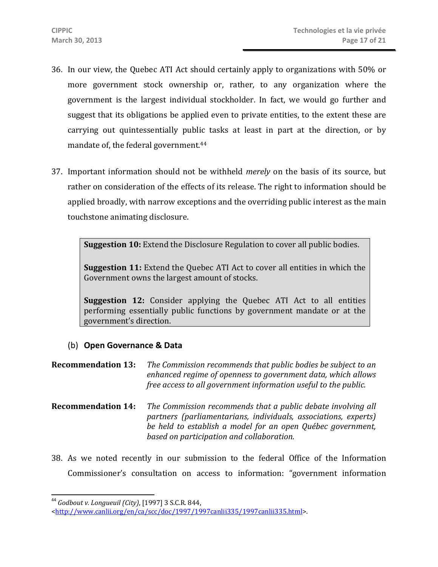- 36. In our view, the Quebec ATI Act should certainly apply to organizations with 50% or more government stock ownership or, rather, to any organization where the government is the largest individual stockholder. In fact, we would go further and suggest that its obligations be applied even to private entities, to the extent these are carrying out quintessentially public tasks at least in part at the direction, or by mandate of, the federal government.44
- 37. Important information should not be withheld *merely* on the basis of its source, but rather on consideration of the effects of its release. The right to information should be applied broadly, with narrow exceptions and the overriding public interest as the main touchstone animating disclosure.

**Suggestion 10:** Extend the Disclosure Regulation to cover all public bodies.

**Suggestion 11:** Extend the Quebec ATI Act to cover all entities in which the Government owns the largest amount of stocks.

**Suggestion 12:** Consider applying the Quebec ATI Act to all entities performing essentially public functions by government mandate or at the government's direction.

- (b) **Open Governance & Data**
- **Recommendation 13:** *The Commission recommends that public bodies be subject to an enhanced regime of openness to government data, which allows free access to all government information useful to the public.*
- **Recommendation 14:** *The Commission recommends that a public debate involving all partners (parliamentarians, individuals, associations, experts) be held to establish a model for an open Québec government, based on participation and collaboration.*
- 38. As we noted recently in our submission to the federal Office of the Information Commissioner's consultation on access to information: "government information

 $\overline{a}$ <sup>44</sup> *Godbout v. Longueuil (City)*, [1997] 3 S.C.R. 844,

<sup>&</sup>lt;http://www.canlii.org/en/ca/scc/doc/1997/1997canlii335/1997canlii335.html>.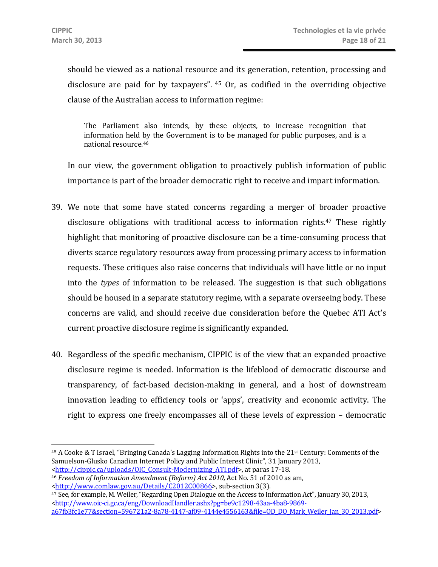should be viewed as a national resource and its generation, retention, processing and disclosure are paid for by taxpayers". 45 Or, as codified in the overriding objective clause of the Australian access to information regime:

The Parliament also intends, by these objects, to increase recognition that information held by the Government is to be managed for public purposes, and is a national resource.46

In our view, the government obligation to proactively publish information of public importance is part of the broader democratic right to receive and impart information.

- 39. We note that some have stated concerns regarding a merger of broader proactive disclosure obligations with traditional access to information rights.47 These rightly highlight that monitoring of proactive disclosure can be a time-consuming process that diverts scarce regulatory resources away from processing primary access to information requests. These critiques also raise concerns that individuals will have little or no input into the *types* of information to be released. The suggestion is that such obligations should be housed in a separate statutory regime, with a separate overseeing body. These concerns are valid, and should receive due consideration before the Quebec ATI Act's current proactive disclosure regime is significantly expanded.
- 40. Regardless of the specific mechanism, CIPPIC is of the view that an expanded proactive disclosure regime is needed. Information is the lifeblood of democratic discourse and transparency, of fact-based decision-making in general, and a host of downstream innovation leading to efficiency tools or 'apps', creativity and economic activity. The right to express one freely encompasses all of these levels of expression – democratic

<sup>45</sup> A Cooke & T Israel, "Bringing Canada's Lagging Information Rights into the 21st Century: Comments of the Samuelson-Glusko Canadian Internet Policy and Public Interest Clinic", 31 January 2013, <br>
<http://cippic.ca/uploads/OIC\_Consult-Modernizing\_ATI.pdf>, at paras 17-18.

<sup>&</sup>lt;sup>46</sup> Freedom of Information Amendment (Reform) Act 2010, Act No. 51 of 2010 as am, <br>
<http://www.comlaw.gov.au/Details/C2012C00866>, sub-section 3(3).

 $47$  See, for example, M. Weiler, "Regarding Open Dialogue on the Access to Information Act", January 30, 2013, <http://www.oic-ci.gc.ca/eng/DownloadHandler.ashx?pg=be9c1298-43aa-4ba8-9869 a67fb3fc1e77&section=596721a2-8a78-4147-af09-4144e4556163&file=OD\_DO\_Mark\_Weiler\_Jan\_30\_2013.pdf>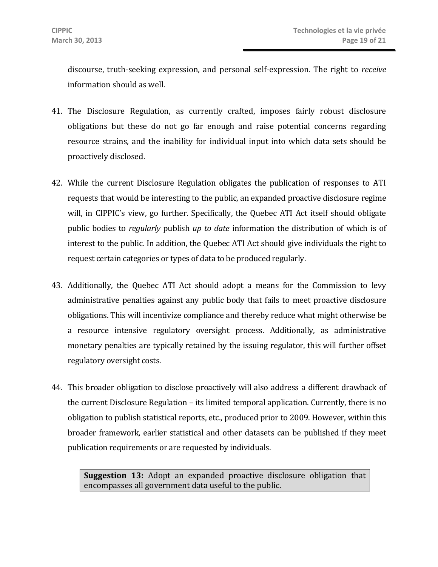discourse, truth-seeking expression, and personal self-expression. The right to *receive* information should as well.

- 41. The Disclosure Regulation, as currently crafted, imposes fairly robust disclosure obligations but these do not go far enough and raise potential concerns regarding resource strains, and the inability for individual input into which data sets should be proactively disclosed.
- 42. While the current Disclosure Regulation obligates the publication of responses to ATI requests that would be interesting to the public, an expanded proactive disclosure regime will, in CIPPIC's view, go further. Specifically, the Quebec ATI Act itself should obligate public bodies to *regularly* publish *up to date* information the distribution of which is of interest to the public. In addition, the Quebec ATI Act should give individuals the right to request certain categories or types of data to be produced regularly.
- 43. Additionally, the Quebec ATI Act should adopt a means for the Commission to levy administrative penalties against any public body that fails to meet proactive disclosure obligations. This will incentivize compliance and thereby reduce what might otherwise be a resource intensive regulatory oversight process. Additionally, as administrative monetary penalties are typically retained by the issuing regulator, this will further offset regulatory oversight costs.
- 44. This broader obligation to disclose proactively will also address a different drawback of the current Disclosure Regulation – its limited temporal application. Currently, there is no obligation to publish statistical reports, etc., produced prior to 2009. However, within this broader framework, earlier statistical and other datasets can be published if they meet publication requirements or are requested by individuals.

**Suggestion 13:** Adopt an expanded proactive disclosure obligation that encompasses all government data useful to the public.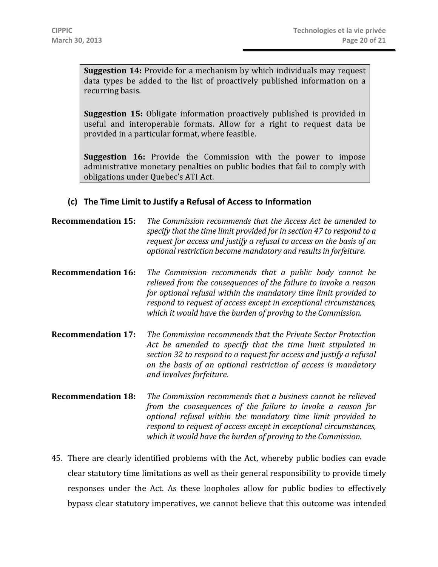**Suggestion 14:** Provide for a mechanism by which individuals may request data types be added to the list of proactively published information on a recurring basis.

**Suggestion 15:** Obligate information proactively published is provided in useful and interoperable formats. Allow for a right to request data be provided in a particular format, where feasible.

**Suggestion 16:** Provide the Commission with the power to impose administrative monetary penalties on public bodies that fail to comply with obligations under Quebec's ATI Act.

#### **(c) The Time Limit to Justify a Refusal of Access to Information**

- **Recommendation 15:** *The Commission recommends that the Access Act be amended to specify that the time limit provided for in section 47 to respond to a request for access and justify a refusal to access on the basis of an optional restriction become mandatory and results in forfeiture.*
- **Recommendation 16:** *The Commission recommends that a public body cannot be relieved from the consequences of the failure to invoke a reason for optional refusal within the mandatory time limit provided to respond to request of access except in exceptional circumstances, which it would have the burden of proving to the Commission.*
- **Recommendation 17:** *The Commission recommends that the Private Sector Protection Act be amended to specify that the time limit stipulated in section 32 to respond to a request for access and justify a refusal on the basis of an optional restriction of access is mandatory and involves forfeiture.*
- **Recommendation 18:** *The Commission recommends that a business cannot be relieved from the consequences of the failure to invoke a reason for optional refusal within the mandatory time limit provided to respond to request of access except in exceptional circumstances, which it would have the burden of proving to the Commission.*
- 45. There are clearly identified problems with the Act, whereby public bodies can evade clear statutory time limitations as well as their general responsibility to provide timely responses under the Act. As these loopholes allow for public bodies to effectively bypass clear statutory imperatives, we cannot believe that this outcome was intended